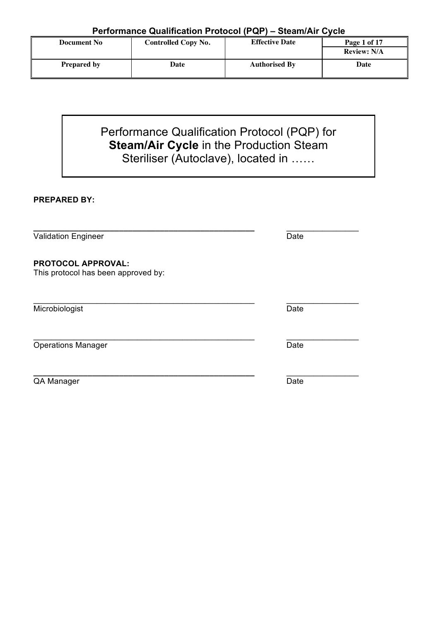| <b>Document No</b> | Controlled Copy No. | <b>Effective Date</b> | Page 1 of 17       |  |  |  |
|--------------------|---------------------|-----------------------|--------------------|--|--|--|
|                    |                     |                       | <b>Review: N/A</b> |  |  |  |
| <b>Prepared by</b> | Date                | <b>Authorised By</b>  | Date               |  |  |  |

Performance Qualification Protocol (PQP) for **Steam/Air Cycle** in the Production Steam Steriliser (Autoclave), located in ……

## **PREPARED BY:**

| <b>Validation Engineer</b>                                       | Date |
|------------------------------------------------------------------|------|
| <b>PROTOCOL APPROVAL:</b><br>This protocol has been approved by: |      |
| Microbiologist                                                   | Date |
| <b>Operations Manager</b>                                        | Date |
| QA Manager                                                       | Date |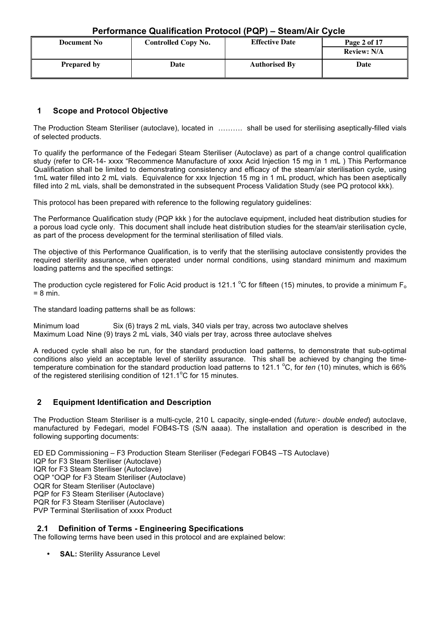| <b>Document No</b> | <b>Effective Date</b><br><b>Controlled Copy No.</b> |                      | Page 2 of 17       |
|--------------------|-----------------------------------------------------|----------------------|--------------------|
|                    |                                                     |                      | <b>Review: N/A</b> |
| <b>Prepared by</b> | Date                                                | <b>Authorised By</b> | Date               |

## **1 Scope and Protocol Objective**

The Production Steam Steriliser (autoclave), located in ………. shall be used for sterilising aseptically-filled vials of selected products.

To qualify the performance of the Fedegari Steam Steriliser (Autoclave) as part of a change control qualification study (refer to CR-14- xxxx "Recommence Manufacture of xxxx Acid Injection 15 mg in 1 mL ) This Performance Qualification shall be limited to demonstrating consistency and efficacy of the steam/air sterilisation cycle, using 1mL water filled into 2 mL vials. Equivalence for xxx Injection 15 mg in 1 mL product, which has been aseptically filled into 2 mL vials, shall be demonstrated in the subsequent Process Validation Study (see PQ protocol kkk).

This protocol has been prepared with reference to the following regulatory guidelines:

The Performance Qualification study (PQP kkk ) for the autoclave equipment, included heat distribution studies for a porous load cycle only. This document shall include heat distribution studies for the steam/air sterilisation cycle, as part of the process development for the terminal sterilisation of filled vials.

The objective of this Performance Qualification, is to verify that the sterilising autoclave consistently provides the required sterility assurance, when operated under normal conditions, using standard minimum and maximum loading patterns and the specified settings:

The production cycle registered for Folic Acid product is 121.1  $^{\circ}$ C for fifteen (15) minutes, to provide a minimum F<sub>o</sub>  $= 8$  min.

The standard loading patterns shall be as follows:

Minimum load Six (6) trays 2 mL vials, 340 vials per tray, across two autoclave shelves Maximum Load Nine (9) trays 2 mL vials, 340 vials per tray, across three autoclave shelves

A reduced cycle shall also be run, for the standard production load patterns, to demonstrate that sub-optimal conditions also yield an acceptable level of sterility assurance. This shall be achieved by changing the timetemperature combination for the standard production load patterns to 121.1 °C, for *ten* (10) minutes, which is 66% of the registered sterilising condition of  $121.1^{\circ}$ C for 15 minutes.

### **2 Equipment Identification and Description**

The Production Steam Steriliser is a multi-cycle, 210 L capacity, single-ended (*future:- double ended*) autoclave, manufactured by Fedegari, model FOB4S-TS (S/N aaaa). The installation and operation is described in the following supporting documents:

ED ED Commissioning – F3 Production Steam Steriliser (Fedegari FOB4S –TS Autoclave) IQP for F3 Steam Steriliser (Autoclave) IQR for F3 Steam Steriliser (Autoclave) OQP "OQP for F3 Steam Steriliser (Autoclave) OQR for Steam Steriliser (Autoclave) PQP for F3 Steam Steriliser (Autoclave) PQR for F3 Steam Steriliser (Autoclave) PVP Terminal Sterilisation of xxxx Product

#### **2.1 Definition of Terms - Engineering Specifications**

The following terms have been used in this protocol and are explained below:

**SAL: Sterility Assurance Level**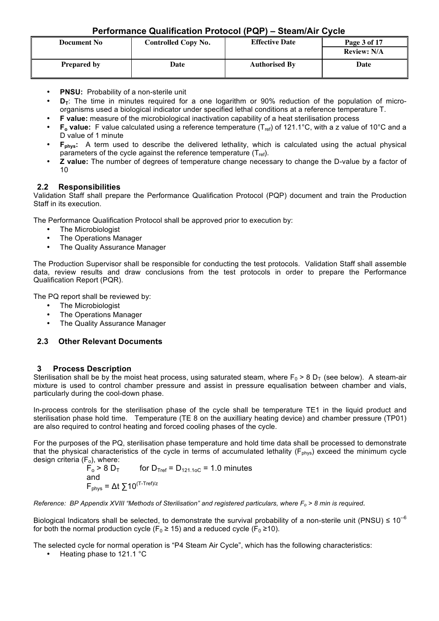| <b>Document No</b> | <b>Controlled Copy No.</b> | <b>Effective Date</b> |                    |
|--------------------|----------------------------|-----------------------|--------------------|
|                    |                            |                       | <b>Review: N/A</b> |
| <b>Prepared by</b> | Date                       | <b>Authorised By</b>  | Date               |

- **PNSU:** Probability of a non-sterile unit
- **D<sub>T</sub>**: The time in minutes required for a one logarithm or 90% reduction of the population of microorganisms used a biological indicator under specified lethal conditions at a reference temperature T.
- **F value:** measure of the microbiological inactivation capability of a heat sterilisation process
- F<sub>o</sub> value: F value calculated using a reference temperature (T<sub>ref</sub>) of 121.1°C, with a z value of 10°C and a D value of 1 minute
- **F**<sub>phys</sub>: A term used to describe the delivered lethality, which is calculated using the actual physical parameters of the cycle against the reference temperature  $(T_{ref})$ .
- **Z value:** The number of degrees of temperature change necessary to change the D-value by a factor of 10

## **2.2 Responsibilities**

Validation Staff shall prepare the Performance Qualification Protocol (PQP) document and train the Production Staff in its execution.

The Performance Qualification Protocol shall be approved prior to execution by:

- The Microbiologist<br>• The Operations Ma
- The Operations Manager
- The Quality Assurance Manager

The Production Supervisor shall be responsible for conducting the test protocols. Validation Staff shall assemble data, review results and draw conclusions from the test protocols in order to prepare the Performance Qualification Report (PQR).

The PQ report shall be reviewed by:

- The Microbiologist
- The Operations Manager
- The Quality Assurance Manager

### **2.3 Other Relevant Documents**

### **3 Process Description**

Sterilisation shall be by the moist heat process, using saturated steam, where  $F_0 > 8$  D<sub>T</sub> (see below). A steam-air mixture is used to control chamber pressure and assist in pressure equalisation between chamber and vials, particularly during the cool-down phase.

In-process controls for the sterilisation phase of the cycle shall be temperature TE1 in the liquid product and sterilisation phase hold time. Temperature (TE 8 on the auxilliary heating device) and chamber pressure (TP01) are also required to control heating and forced cooling phases of the cycle.

For the purposes of the PQ, sterilisation phase temperature and hold time data shall be processed to demonstrate that the physical characteristics of the cycle in terms of accumulated lethality ( $F_{phys}$ ) exceed the minimum cycle design criteria (F<sub>o</sub>), where:<br> $F_o > 8 D_T$ 

for  $D_{\text{Tref}} = D_{121.10C} = 1.0$  minutes and  $F_{\text{phys}} = \Delta t \sum 10^{(T-Tref)/z}$ 

*Reference: BP Appendix XVIII "Methods of Sterilisation" and registered particulars, where Fo > 8 min is required.*

Biological Indicators shall be selected, to demonstrate the survival probability of a non-sterile unit (PNSU)  $\leq 10^{-6}$ for both the normal production cycle ( $F_0 \ge 15$ ) and a reduced cycle ( $F_0 \ge 10$ ).

The selected cycle for normal operation is "P4 Steam Air Cycle", which has the following characteristics:

• Heating phase to 121.1 °C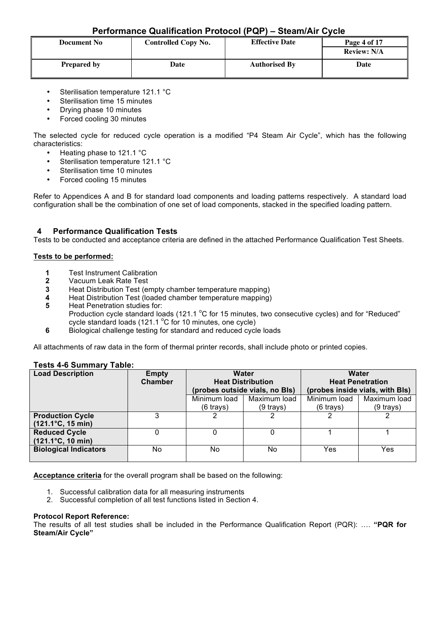| <b>Document No</b> | <b>Controlled Copy No.</b> | <b>Effective Date</b> | Page 4 of 17<br><b>Review: N/A</b> |
|--------------------|----------------------------|-----------------------|------------------------------------|
| <b>Prepared by</b> | Date                       | <b>Authorised By</b>  | Date                               |

- Sterilisation temperature 121.1 °C
- Sterilisation time 15 minutes
- Drying phase 10 minutes
- Forced cooling 30 minutes

The selected cycle for reduced cycle operation is a modified "P4 Steam Air Cycle", which has the following characteristics:

- Heating phase to 121.1 °C
- Sterilisation temperature 121.1 °C
- Sterilisation time 10 minutes
- Forced cooling 15 minutes

Refer to Appendices A and B for standard load components and loading patterns respectively. A standard load configuration shall be the combination of one set of load components, stacked in the specified loading pattern.

### **4 Performance Qualification Tests**

Tests to be conducted and acceptance criteria are defined in the attached Performance Qualification Test Sheets.

#### **Tests to be performed:**

- **1** Test Instrument Calibration
- **2** Vacuum Leak Rate Test
- **3** Heat Distribution Test (empty chamber temperature mapping)
- **4** Heat Distribution Test (loaded chamber temperature mapping)
- **5** Heat Penetration studies for:
	- Production cycle standard loads (121.1 °C for 15 minutes, two consecutive cycles) and for "Reduced" cycle standard loads (121.1  $^{\circ}$ C for 10 minutes, one cycle)
- **6** Biological challenge testing for standard and reduced cycle loads

All attachments of raw data in the form of thermal printer records, shall include photo or printed copies.

#### **Tests 4-6 Summary Table:**

| <b>Load Description</b>            | <b>Empty</b>   | <b>Water</b>                   |              | Water                   |                                 |
|------------------------------------|----------------|--------------------------------|--------------|-------------------------|---------------------------------|
|                                    | <b>Chamber</b> | <b>Heat Distribution</b>       |              | <b>Heat Penetration</b> |                                 |
|                                    |                | (probes outside vials, no Bls) |              |                         | (probes inside vials, with Bls) |
|                                    |                | Minimum load                   | Maximum load | Minimum load            | Maximum load                    |
|                                    |                | $(6 \text{ trays})$            | $(9$ trays)  | (6 trays)               | $(9$ trays)                     |
| <b>Production Cycle</b>            |                |                                |              |                         |                                 |
| $(121.1^{\circ}C, 15 \text{ min})$ |                |                                |              |                         |                                 |
| <b>Reduced Cycle</b>               |                |                                |              |                         |                                 |
| $(121.1^{\circ}C, 10 \text{ min})$ |                |                                |              |                         |                                 |
| <b>Biological Indicators</b>       | No             | No.                            | No           | Yes                     | Yes                             |
|                                    |                |                                |              |                         |                                 |

**Acceptance criteria** for the overall program shall be based on the following:

- 1. Successful calibration data for all measuring instruments
- 2. Successful completion of all test functions listed in Section 4.

#### **Protocol Report Reference:**

The results of all test studies shall be included in the Performance Qualification Report (PQR): …. **"PQR for Steam/Air Cycle"**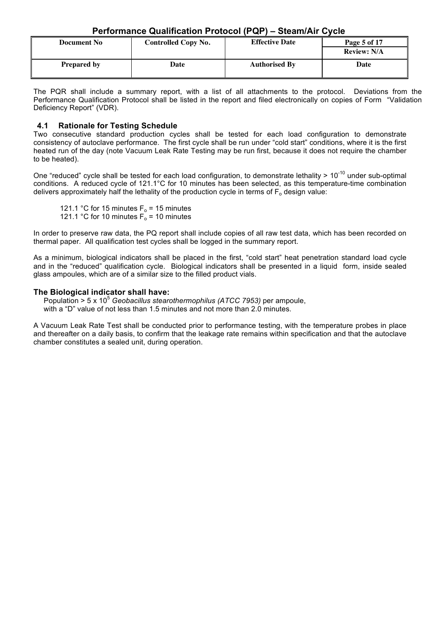| <b>Document No</b> | Controlled Copy No. | <b>Effective Date</b> | Page 5 of 17<br><b>Review: N/A</b> |
|--------------------|---------------------|-----------------------|------------------------------------|
| <b>Prepared by</b> | Date                | <b>Authorised By</b>  | Date                               |

The PQR shall include a summary report, with a list of all attachments to the protocol. Deviations from the Performance Qualification Protocol shall be listed in the report and filed electronically on copies of Form "Validation Deficiency Report" (VDR).

#### **4.1 Rationale for Testing Schedule**

Two consecutive standard production cycles shall be tested for each load configuration to demonstrate consistency of autoclave performance. The first cycle shall be run under "cold start" conditions, where it is the first heated run of the day (note Vacuum Leak Rate Testing may be run first, because it does not require the chamber to be heated).

One "reduced" cycle shall be tested for each load configuration, to demonstrate lethality  $> 10^{-10}$  under sub-optimal conditions. A reduced cycle of 121.1°C for 10 minutes has been selected, as this temperature-time combination delivers approximately half the lethality of the production cycle in terms of  $F_0$  design value:

121.1 °C for 15 minutes  $F_0$  = 15 minutes 121.1 °C for 10 minutes  $F_0$  = 10 minutes

In order to preserve raw data, the PQ report shall include copies of all raw test data, which has been recorded on thermal paper. All qualification test cycles shall be logged in the summary report.

As a minimum, biological indicators shall be placed in the first, "cold start" heat penetration standard load cycle and in the "reduced" qualification cycle. Biological indicators shall be presented in a liquid form, inside sealed glass ampoules, which are of a similar size to the filled product vials.

#### **The Biological indicator shall have:**

Population > 5 x 10<sup>5</sup> Geobacillus stearothermophilus (ATCC 7953) per ampoule, with a "D" value of not less than 1.5 minutes and not more than 2.0 minutes.

A Vacuum Leak Rate Test shall be conducted prior to performance testing, with the temperature probes in place and thereafter on a daily basis, to confirm that the leakage rate remains within specification and that the autoclave chamber constitutes a sealed unit, during operation.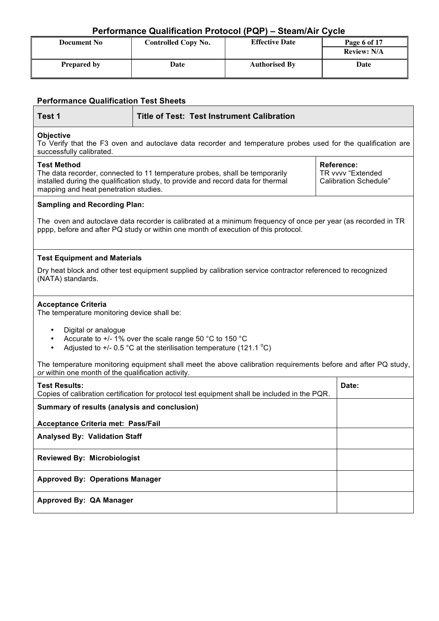| <b>Document No</b> | <b>Controlled Copy No.</b> | <b>Effective Date</b> | Page 6 of 17       |
|--------------------|----------------------------|-----------------------|--------------------|
|                    |                            |                       | <b>Review: N/A</b> |
| <b>Prepared by</b> | Date                       | <b>Authorised By</b>  | Date               |

| <b>Performance Qualification Test Sheets</b>               |                                                                                                                                                                                                                                                                                    |                                                                                                                                                                                                     |  |  |  |  |
|------------------------------------------------------------|------------------------------------------------------------------------------------------------------------------------------------------------------------------------------------------------------------------------------------------------------------------------------------|-----------------------------------------------------------------------------------------------------------------------------------------------------------------------------------------------------|--|--|--|--|
| Test 1                                                     | <b>Title of Test: Test Instrument Calibration</b>                                                                                                                                                                                                                                  |                                                                                                                                                                                                     |  |  |  |  |
| <b>Objective</b><br>successfully calibrated.               | To Verify that the F3 oven and autoclave data recorder and temperature probes used for the qualification are                                                                                                                                                                       |                                                                                                                                                                                                     |  |  |  |  |
| <b>Test Method</b>                                         | <b>Reference:</b><br>TR vvvv "Extended<br>The data recorder, connected to 11 temperature probes, shall be temporarily<br>installed during the qualification study, to provide and record data for thermal<br><b>Calibration Schedule"</b><br>mapping and heat penetration studies. |                                                                                                                                                                                                     |  |  |  |  |
| <b>Sampling and Recording Plan:</b>                        |                                                                                                                                                                                                                                                                                    |                                                                                                                                                                                                     |  |  |  |  |
|                                                            |                                                                                                                                                                                                                                                                                    | The oven and autoclave data recorder is calibrated at a minimum frequency of once per year (as recorded in TR<br>pppp, before and after PQ study or within one month of execution of this protocol. |  |  |  |  |
| <b>Test Equipment and Materials</b>                        |                                                                                                                                                                                                                                                                                    |                                                                                                                                                                                                     |  |  |  |  |
| (NATA) standards.                                          |                                                                                                                                                                                                                                                                                    | Dry heat block and other test equipment supplied by calibration service contractor referenced to recognized                                                                                         |  |  |  |  |
| <b>Acceptance Criteria</b>                                 | The temperature monitoring device shall be:                                                                                                                                                                                                                                        |                                                                                                                                                                                                     |  |  |  |  |
| Digital or analogue<br>$\bullet$<br>$\bullet$<br>$\bullet$ | Accurate to +/- 1% over the scale range 50 °C to 150 °C<br>Adjusted to $+/-$ 0.5 °C at the sterilisation temperature (121.1 °C)                                                                                                                                                    |                                                                                                                                                                                                     |  |  |  |  |
| or within one month of the qualification activity.         |                                                                                                                                                                                                                                                                                    | The temperature monitoring equipment shall meet the above calibration requirements before and after PQ study,                                                                                       |  |  |  |  |
| <b>Test Results:</b>                                       | Date:<br>Copies of calibration certification for protocol test equipment shall be included in the PQR.                                                                                                                                                                             |                                                                                                                                                                                                     |  |  |  |  |
| Summary of results (analysis and conclusion)               |                                                                                                                                                                                                                                                                                    |                                                                                                                                                                                                     |  |  |  |  |
| <b>Acceptance Criteria met: Pass/Fail</b>                  |                                                                                                                                                                                                                                                                                    |                                                                                                                                                                                                     |  |  |  |  |
|                                                            | <b>Analysed By: Validation Staff</b>                                                                                                                                                                                                                                               |                                                                                                                                                                                                     |  |  |  |  |
|                                                            | <b>Reviewed By: Microbiologist</b>                                                                                                                                                                                                                                                 |                                                                                                                                                                                                     |  |  |  |  |
|                                                            | <b>Approved By: Operations Manager</b>                                                                                                                                                                                                                                             |                                                                                                                                                                                                     |  |  |  |  |
| Approved By: QA Manager                                    |                                                                                                                                                                                                                                                                                    |                                                                                                                                                                                                     |  |  |  |  |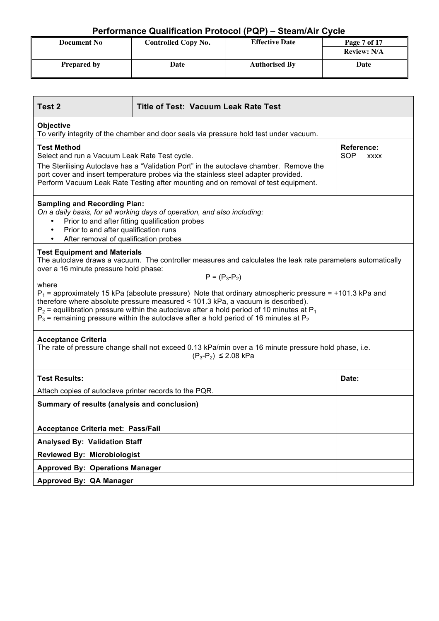| <b>Document No</b> | <b>Effective Date</b><br><b>Controlled Copy No.</b> |                      |                    |  | Page 7 of 17 |
|--------------------|-----------------------------------------------------|----------------------|--------------------|--|--------------|
|                    |                                                     |                      | <b>Review: N/A</b> |  |              |
| <b>Prepared by</b> | Date                                                | <b>Authorised By</b> | Date               |  |              |

| Test 2                                                                                                                                                                                                                                                                                                                                                                                                                                                                                                                                                                                                                    | <b>Title of Test: Vacuum Leak Rate Test</b>                                                                                                                                                                                                                                                                                                                   |       |  |  |  |  |
|---------------------------------------------------------------------------------------------------------------------------------------------------------------------------------------------------------------------------------------------------------------------------------------------------------------------------------------------------------------------------------------------------------------------------------------------------------------------------------------------------------------------------------------------------------------------------------------------------------------------------|---------------------------------------------------------------------------------------------------------------------------------------------------------------------------------------------------------------------------------------------------------------------------------------------------------------------------------------------------------------|-------|--|--|--|--|
| Objective<br>To verify integrity of the chamber and door seals via pressure hold test under vacuum.                                                                                                                                                                                                                                                                                                                                                                                                                                                                                                                       |                                                                                                                                                                                                                                                                                                                                                               |       |  |  |  |  |
| <b>Test Method</b>                                                                                                                                                                                                                                                                                                                                                                                                                                                                                                                                                                                                        | <b>Reference:</b><br>SOP<br>Select and run a Vacuum Leak Rate Test cycle.<br><b>XXXX</b><br>The Sterilising Autoclave has a "Validation Port" in the autoclave chamber. Remove the<br>port cover and insert temperature probes via the stainless steel adapter provided.<br>Perform Vacuum Leak Rate Testing after mounting and on removal of test equipment. |       |  |  |  |  |
| After removal of qualification probes                                                                                                                                                                                                                                                                                                                                                                                                                                                                                                                                                                                     | <b>Sampling and Recording Plan:</b><br>On a daily basis, for all working days of operation, and also including:<br>Prior to and after fitting qualification probes<br>Prior to and after qualification runs                                                                                                                                                   |       |  |  |  |  |
| <b>Test Equipment and Materials</b><br>The autoclave draws a vacuum. The controller measures and calculates the leak rate parameters automatically<br>over a 16 minute pressure hold phase:<br>$P = (P_3 - P_2)$<br>where<br>$P_1$ = approximately 15 kPa (absolute pressure) Note that ordinary atmospheric pressure = +101.3 kPa and<br>therefore where absolute pressure measured < 101.3 kPa, a vacuum is described).<br>$P_2$ = equilibration pressure within the autoclave after a hold period of 10 minutes at $P_1$<br>$P_3$ = remaining pressure within the autoclave after a hold period of 16 minutes at $P_2$ |                                                                                                                                                                                                                                                                                                                                                               |       |  |  |  |  |
| <b>Acceptance Criteria</b><br>The rate of pressure change shall not exceed 0.13 kPa/min over a 16 minute pressure hold phase, i.e.<br>$(P_3-P_2) \le 2.08$ kPa                                                                                                                                                                                                                                                                                                                                                                                                                                                            |                                                                                                                                                                                                                                                                                                                                                               |       |  |  |  |  |
| <b>Test Results:</b>                                                                                                                                                                                                                                                                                                                                                                                                                                                                                                                                                                                                      |                                                                                                                                                                                                                                                                                                                                                               | Date: |  |  |  |  |
| Attach copies of autoclave printer records to the PQR.                                                                                                                                                                                                                                                                                                                                                                                                                                                                                                                                                                    |                                                                                                                                                                                                                                                                                                                                                               |       |  |  |  |  |
| Summary of results (analysis and conclusion)                                                                                                                                                                                                                                                                                                                                                                                                                                                                                                                                                                              |                                                                                                                                                                                                                                                                                                                                                               |       |  |  |  |  |
| Acceptance Criteria met: Pass/Fail                                                                                                                                                                                                                                                                                                                                                                                                                                                                                                                                                                                        |                                                                                                                                                                                                                                                                                                                                                               |       |  |  |  |  |
| <b>Analysed By: Validation Staff</b>                                                                                                                                                                                                                                                                                                                                                                                                                                                                                                                                                                                      |                                                                                                                                                                                                                                                                                                                                                               |       |  |  |  |  |
| <b>Reviewed By: Microbiologist</b>                                                                                                                                                                                                                                                                                                                                                                                                                                                                                                                                                                                        |                                                                                                                                                                                                                                                                                                                                                               |       |  |  |  |  |
| <b>Approved By: Operations Manager</b>                                                                                                                                                                                                                                                                                                                                                                                                                                                                                                                                                                                    |                                                                                                                                                                                                                                                                                                                                                               |       |  |  |  |  |
| Approved By: QA Manager                                                                                                                                                                                                                                                                                                                                                                                                                                                                                                                                                                                                   |                                                                                                                                                                                                                                                                                                                                                               |       |  |  |  |  |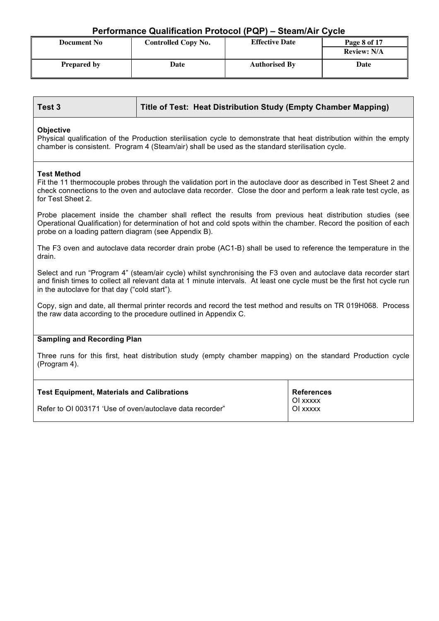| <b>Document No</b> | <b>Effective Date</b><br><b>Controlled Copy No.</b> |                      | Page 8 of 17       |
|--------------------|-----------------------------------------------------|----------------------|--------------------|
|                    |                                                     |                      | <b>Review: N/A</b> |
| <b>Prepared by</b> | Date                                                | <b>Authorised By</b> | Date               |

#### **Objective**

Physical qualification of the Production sterilisation cycle to demonstrate that heat distribution within the empty chamber is consistent. Program 4 (Steam/air) shall be used as the standard sterilisation cycle.

#### **Test Method**

Fit the 11 thermocouple probes through the validation port in the autoclave door as described in Test Sheet 2 and check connections to the oven and autoclave data recorder. Close the door and perform a leak rate test cycle, as for Test Sheet 2.

Probe placement inside the chamber shall reflect the results from previous heat distribution studies (see Operational Qualification) for determination of hot and cold spots within the chamber. Record the position of each probe on a loading pattern diagram (see Appendix B).

The F3 oven and autoclave data recorder drain probe (AC1-B) shall be used to reference the temperature in the drain.

Select and run "Program 4" (steam/air cycle) whilst synchronising the F3 oven and autoclave data recorder start and finish times to collect all relevant data at 1 minute intervals. At least one cycle must be the first hot cycle run in the autoclave for that day ("cold start").

Copy, sign and date, all thermal printer records and record the test method and results on TR 019H068. Process the raw data according to the procedure outlined in Appendix C.

#### **Sampling and Recording Plan**

Three runs for this first, heat distribution study (empty chamber mapping) on the standard Production cycle (Program 4).

| Test Equipment, Materials and Calibrations               | <b>References</b>    |
|----------------------------------------------------------|----------------------|
| Refer to OI 003171 'Use of oven/autoclave data recorder" | OI xxxxx<br>OI xxxxx |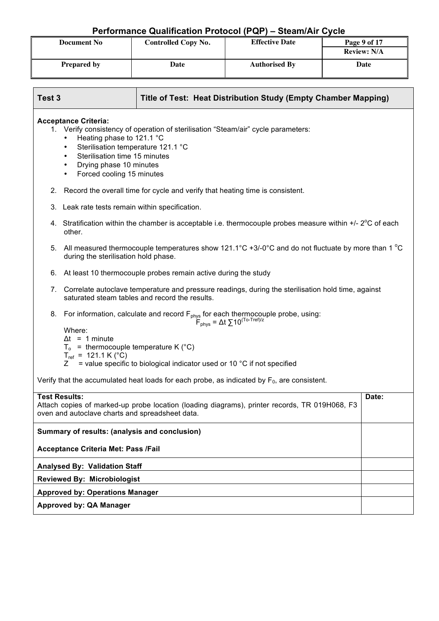| <b>Document No</b> | <b>Effective Date</b><br><b>Controlled Copy No.</b> |                      | Page 9 of 17       |
|--------------------|-----------------------------------------------------|----------------------|--------------------|
|                    |                                                     |                      | <b>Review: N/A</b> |
| <b>Prepared by</b> | Date                                                | <b>Authorised By</b> | Date               |

| Test 3               | Title of Test: Heat Distribution Study (Empty Chamber Mapping)                                                                                                                                                                                                                            |       |
|----------------------|-------------------------------------------------------------------------------------------------------------------------------------------------------------------------------------------------------------------------------------------------------------------------------------------|-------|
|                      | <b>Acceptance Criteria:</b><br>1. Verify consistency of operation of sterilisation "Steam/air" cycle parameters:<br>Heating phase to 121.1 °C<br>Sterilisation temperature 121.1 °C<br>$\bullet$<br>Sterilisation time 15 minutes<br>Drying phase 10 minutes<br>Forced cooling 15 minutes |       |
|                      | 2. Record the overall time for cycle and verify that heating time is consistent.                                                                                                                                                                                                          |       |
| 3.                   | Leak rate tests remain within specification.                                                                                                                                                                                                                                              |       |
|                      | 4. Stratification within the chamber is acceptable i.e. thermocouple probes measure within $+/- 2^{\circ}$ C of each<br>other.                                                                                                                                                            |       |
| 5.                   | All measured thermocouple temperatures show 121.1°C +3/-0°C and do not fluctuate by more than 1 °C<br>during the sterilisation hold phase.                                                                                                                                                |       |
| 6.                   | At least 10 thermocouple probes remain active during the study                                                                                                                                                                                                                            |       |
| 7.                   | Correlate autoclave temperature and pressure readings, during the sterilisation hold time, against<br>saturated steam tables and record the results.                                                                                                                                      |       |
| 8.                   | For information, calculate and record $F_{phys}$ for each thermocouple probe, using:<br>$F_{phys} = \Delta t \sum 10^{(T_0 - Tref)/z}$                                                                                                                                                    |       |
|                      | Where:<br>$\Delta t = 1$ minute<br>$T_0$ = thermocouple temperature K (°C)<br>$T_{ref}$ = 121.1 K (°C)<br>= value specific to biological indicator used or 10 °C if not specified<br>Z                                                                                                    |       |
|                      | Verify that the accumulated heat loads for each probe, as indicated by $F_0$ , are consistent.                                                                                                                                                                                            |       |
| <b>Test Results:</b> | Attach copies of marked-up probe location (loading diagrams), printer records, TR 019H068, F3<br>oven and autoclave charts and spreadsheet data.                                                                                                                                          | Date: |
|                      | Summary of results: (analysis and conclusion)                                                                                                                                                                                                                                             |       |
|                      | Acceptance Criteria Met: Pass /Fail                                                                                                                                                                                                                                                       |       |
|                      | <b>Analysed By: Validation Staff</b>                                                                                                                                                                                                                                                      |       |
|                      | <b>Reviewed By: Microbiologist</b>                                                                                                                                                                                                                                                        |       |
|                      | <b>Approved by: Operations Manager</b>                                                                                                                                                                                                                                                    |       |
|                      | Approved by: QA Manager                                                                                                                                                                                                                                                                   |       |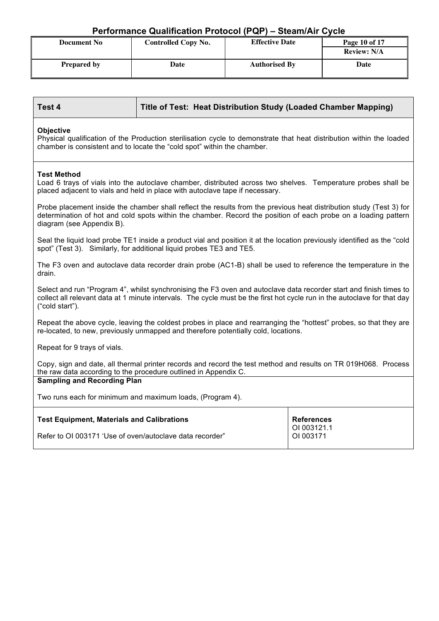| <b>Document No</b> | <b>Controlled Copy No.</b> | <b>Effective Date</b> | Page 10 of 17      |
|--------------------|----------------------------|-----------------------|--------------------|
|                    |                            |                       | <b>Review: N/A</b> |
| <b>Prepared by</b> | Date                       | <b>Authorised By</b>  | Date               |

| Test 4                                                                                                                                                                                                                                                            | Title of Test: Heat Distribution Study (Loaded Chamber Mapping)                                                                                                                                                                       |  |  |  |
|-------------------------------------------------------------------------------------------------------------------------------------------------------------------------------------------------------------------------------------------------------------------|---------------------------------------------------------------------------------------------------------------------------------------------------------------------------------------------------------------------------------------|--|--|--|
| <b>Objective</b><br>Physical qualification of the Production sterilisation cycle to demonstrate that heat distribution within the loaded<br>chamber is consistent and to locate the "cold spot" within the chamber.                                               |                                                                                                                                                                                                                                       |  |  |  |
| <b>Test Method</b>                                                                                                                                                                                                                                                | Load 6 trays of vials into the autoclave chamber, distributed across two shelves. Temperature probes shall be<br>placed adjacent to vials and held in place with autoclave tape if necessary.                                         |  |  |  |
| diagram (see Appendix B).                                                                                                                                                                                                                                         | Probe placement inside the chamber shall reflect the results from the previous heat distribution study (Test 3) for<br>determination of hot and cold spots within the chamber. Record the position of each probe on a loading pattern |  |  |  |
|                                                                                                                                                                                                                                                                   | Seal the liquid load probe TE1 inside a product vial and position it at the location previously identified as the "cold<br>spot" (Test 3). Similarly, for additional liquid probes TE3 and TE5.                                       |  |  |  |
| drain.                                                                                                                                                                                                                                                            | The F3 oven and autoclave data recorder drain probe (AC1-B) shall be used to reference the temperature in the                                                                                                                         |  |  |  |
| Select and run "Program 4", whilst synchronising the F3 oven and autoclave data recorder start and finish times to<br>collect all relevant data at 1 minute intervals. The cycle must be the first hot cycle run in the autoclave for that day<br>("cold start"). |                                                                                                                                                                                                                                       |  |  |  |
|                                                                                                                                                                                                                                                                   | Repeat the above cycle, leaving the coldest probes in place and rearranging the "hottest" probes, so that they are<br>re-located, to new, previously unmapped and therefore potentially cold, locations.                              |  |  |  |
| Repeat for 9 trays of vials.                                                                                                                                                                                                                                      |                                                                                                                                                                                                                                       |  |  |  |
| Copy, sign and date, all thermal printer records and record the test method and results on TR 019H068. Process<br>the raw data according to the procedure outlined in Appendix C.                                                                                 |                                                                                                                                                                                                                                       |  |  |  |
| <b>Sampling and Recording Plan</b>                                                                                                                                                                                                                                |                                                                                                                                                                                                                                       |  |  |  |
| Two runs each for minimum and maximum loads, (Program 4).                                                                                                                                                                                                         |                                                                                                                                                                                                                                       |  |  |  |
| <b>Test Equipment, Materials and Calibrations</b><br><b>References</b><br>OI 003121.1                                                                                                                                                                             |                                                                                                                                                                                                                                       |  |  |  |
| Refer to OI 003171 'Use of oven/autoclave data recorder"<br>OI 003171                                                                                                                                                                                             |                                                                                                                                                                                                                                       |  |  |  |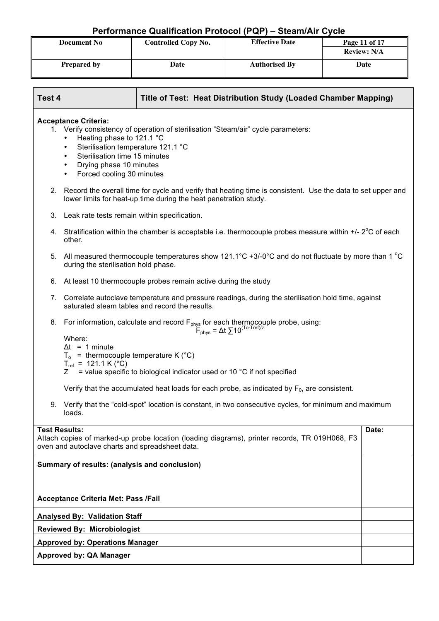| <b>Document No</b> | <b>Controlled Copy No.</b> | <b>Effective Date</b> | Page 11 of 17<br><b>Review: N/A</b> |
|--------------------|----------------------------|-----------------------|-------------------------------------|
| <b>Prepared by</b> | Date                       | <b>Authorised By</b>  | Date                                |

| Test 4                                                                                                                                                                            |                                                                                                                                                                                                                                          | Title of Test: Heat Distribution Study (Loaded Chamber Mapping)                                                                                                                                                   |  |  |
|-----------------------------------------------------------------------------------------------------------------------------------------------------------------------------------|------------------------------------------------------------------------------------------------------------------------------------------------------------------------------------------------------------------------------------------|-------------------------------------------------------------------------------------------------------------------------------------------------------------------------------------------------------------------|--|--|
|                                                                                                                                                                                   | <b>Acceptance Criteria:</b><br>Heating phase to 121.1 °C<br>$\bullet$<br>Sterilisation temperature 121.1 °C<br>$\bullet$<br>Sterilisation time 15 minutes<br>٠<br>Drying phase 10 minutes<br>٠<br>Forced cooling 30 minutes<br>$\bullet$ | 1. Verify consistency of operation of sterilisation "Steam/air" cycle parameters:                                                                                                                                 |  |  |
|                                                                                                                                                                                   |                                                                                                                                                                                                                                          | 2. Record the overall time for cycle and verify that heating time is consistent. Use the data to set upper and<br>lower limits for heat-up time during the heat penetration study.                                |  |  |
| 3.                                                                                                                                                                                | Leak rate tests remain within specification.                                                                                                                                                                                             |                                                                                                                                                                                                                   |  |  |
| 4.                                                                                                                                                                                | other.                                                                                                                                                                                                                                   | Stratification within the chamber is acceptable i.e. thermocouple probes measure within $+/- 2^{\circ}$ C of each                                                                                                 |  |  |
|                                                                                                                                                                                   | during the sterilisation hold phase.                                                                                                                                                                                                     | 5. All measured thermocouple temperatures show 121.1°C +3/-0°C and do not fluctuate by more than 1 °C                                                                                                             |  |  |
| 6.                                                                                                                                                                                |                                                                                                                                                                                                                                          | At least 10 thermocouple probes remain active during the study                                                                                                                                                    |  |  |
| 7.                                                                                                                                                                                | Correlate autoclave temperature and pressure readings, during the sterilisation hold time, against<br>saturated steam tables and record the results.                                                                                     |                                                                                                                                                                                                                   |  |  |
| 8.                                                                                                                                                                                | Where:<br>$\Delta t = 1$ minute<br>$T_0$ = thermocouple temperature K (°C)<br>$T_{ref}$ = 121.1 K (°C)<br>Ζ                                                                                                                              | For information, calculate and record $F_{phys}$ for each thermocouple probe, using:<br>$F_{phys} = \Delta t \sum 10^{(T_0 - Tref)/z}$<br>= value specific to biological indicator used or 10 °C if not specified |  |  |
|                                                                                                                                                                                   |                                                                                                                                                                                                                                          | Verify that the accumulated heat loads for each probe, as indicated by $F_0$ , are consistent.                                                                                                                    |  |  |
| Verify that the "cold-spot" location is constant, in two consecutive cycles, for minimum and maximum<br>9.<br>loads.                                                              |                                                                                                                                                                                                                                          |                                                                                                                                                                                                                   |  |  |
| <b>Test Results:</b><br>Date:<br>Attach copies of marked-up probe location (loading diagrams), printer records, TR 019H068, F3<br>oven and autoclave charts and spreadsheet data. |                                                                                                                                                                                                                                          |                                                                                                                                                                                                                   |  |  |
| Summary of results: (analysis and conclusion)<br><b>Acceptance Criteria Met: Pass /Fail</b>                                                                                       |                                                                                                                                                                                                                                          |                                                                                                                                                                                                                   |  |  |
|                                                                                                                                                                                   | <b>Analysed By: Validation Staff</b>                                                                                                                                                                                                     |                                                                                                                                                                                                                   |  |  |
|                                                                                                                                                                                   | <b>Reviewed By: Microbiologist</b>                                                                                                                                                                                                       |                                                                                                                                                                                                                   |  |  |
|                                                                                                                                                                                   | <b>Approved by: Operations Manager</b>                                                                                                                                                                                                   |                                                                                                                                                                                                                   |  |  |
|                                                                                                                                                                                   | <b>Approved by: QA Manager</b>                                                                                                                                                                                                           |                                                                                                                                                                                                                   |  |  |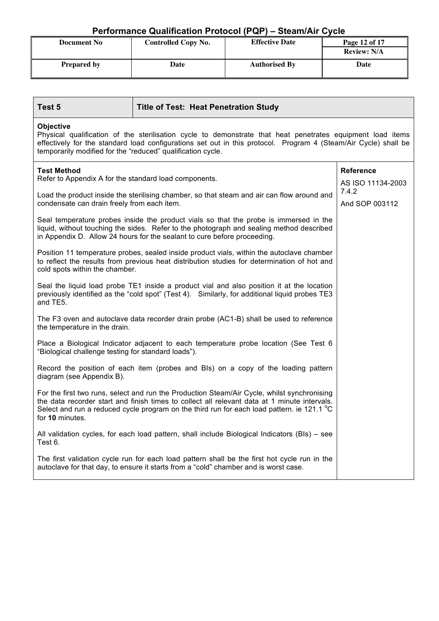| <b>Document No</b> | <b>Controlled Copy No.</b> | <b>Effective Date</b> | Page 12 of 17      |
|--------------------|----------------------------|-----------------------|--------------------|
|                    |                            |                       | <b>Review: N/A</b> |
| <b>Prepared by</b> | Date                       | <b>Authorised By</b>  | Date               |

| Test 5                                                                                                                                                                                                                                                                                                           | <b>Title of Test: Heat Penetration Study</b>                                                                                                                                                                                                                  |                            |  |
|------------------------------------------------------------------------------------------------------------------------------------------------------------------------------------------------------------------------------------------------------------------------------------------------------------------|---------------------------------------------------------------------------------------------------------------------------------------------------------------------------------------------------------------------------------------------------------------|----------------------------|--|
| <b>Objective</b><br>Physical qualification of the sterilisation cycle to demonstrate that heat penetrates equipment load items<br>effectively for the standard load configurations set out in this protocol. Program 4 (Steam/Air Cycle) shall be<br>temporarily modified for the "reduced" qualification cycle. |                                                                                                                                                                                                                                                               |                            |  |
| <b>Test Method</b>                                                                                                                                                                                                                                                                                               |                                                                                                                                                                                                                                                               | <b>Reference</b>           |  |
| Refer to Appendix A for the standard load components.                                                                                                                                                                                                                                                            |                                                                                                                                                                                                                                                               | AS ISO 11134-2003<br>7.4.2 |  |
| condensate can drain freely from each item.                                                                                                                                                                                                                                                                      | Load the product inside the sterilising chamber, so that steam and air can flow around and                                                                                                                                                                    | And SOP 003112             |  |
|                                                                                                                                                                                                                                                                                                                  | Seal temperature probes inside the product vials so that the probe is immersed in the<br>liquid, without touching the sides. Refer to the photograph and sealing method described<br>in Appendix D. Allow 24 hours for the sealant to cure before proceeding. |                            |  |
| cold spots within the chamber.                                                                                                                                                                                                                                                                                   | Position 11 temperature probes, sealed inside product vials, within the autoclave chamber<br>to reflect the results from previous heat distribution studies for determination of hot and                                                                      |                            |  |
| Seal the liquid load probe TE1 inside a product vial and also position it at the location<br>previously identified as the "cold spot" (Test 4). Similarly, for additional liquid probes TE3<br>and TE5.                                                                                                          |                                                                                                                                                                                                                                                               |                            |  |
| The F3 oven and autoclave data recorder drain probe (AC1-B) shall be used to reference<br>the temperature in the drain.                                                                                                                                                                                          |                                                                                                                                                                                                                                                               |                            |  |
| Place a Biological Indicator adjacent to each temperature probe location (See Test 6<br>"Biological challenge testing for standard loads").                                                                                                                                                                      |                                                                                                                                                                                                                                                               |                            |  |
| Record the position of each item (probes and BIs) on a copy of the loading pattern<br>diagram (see Appendix B).                                                                                                                                                                                                  |                                                                                                                                                                                                                                                               |                            |  |
| For the first two runs, select and run the Production Steam/Air Cycle, whilst synchronising<br>the data recorder start and finish times to collect all relevant data at 1 minute intervals.<br>Select and run a reduced cycle program on the third run for each load pattern. ie 121.1 °C<br>for 10 minutes.     |                                                                                                                                                                                                                                                               |                            |  |
| All validation cycles, for each load pattern, shall include Biological Indicators (BIs) – see<br>Test 6.                                                                                                                                                                                                         |                                                                                                                                                                                                                                                               |                            |  |
| The first validation cycle run for each load pattern shall be the first hot cycle run in the<br>autoclave for that day, to ensure it starts from a "cold" chamber and is worst case.                                                                                                                             |                                                                                                                                                                                                                                                               |                            |  |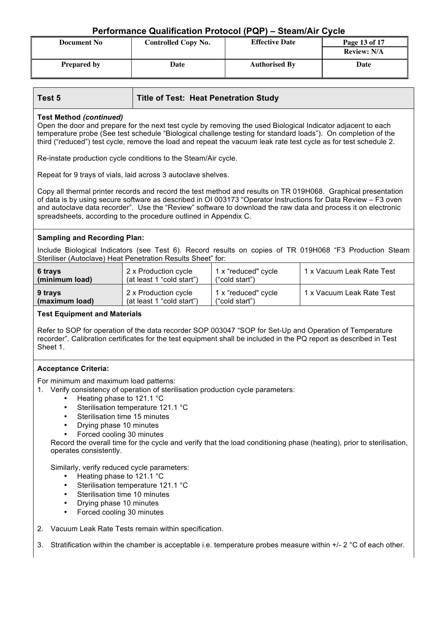| <b>Document No</b> | <b>Controlled Copy No.</b> | <b>Effective Date</b> | Page 13 of 17      |
|--------------------|----------------------------|-----------------------|--------------------|
|                    |                            |                       | <b>Review: N/A</b> |
| <b>Prepared by</b> | Date                       | <b>Authorised By</b>  | Date               |

| Test 5                                                                                                                                                                                                                                                                                                                                                                                                               | <b>Title of Test: Heat Penetration Study</b>      |                                       |                           |  |
|----------------------------------------------------------------------------------------------------------------------------------------------------------------------------------------------------------------------------------------------------------------------------------------------------------------------------------------------------------------------------------------------------------------------|---------------------------------------------------|---------------------------------------|---------------------------|--|
| <b>Test Method (continued)</b><br>Open the door and prepare for the next test cycle by removing the used Biological Indicator adjacent to each<br>temperature probe (See test schedule "Biological challenge testing for standard loads"). On completion of the<br>third ("reduced") test cycle, remove the load and repeat the vacuum leak rate test cycle as for test schedule 2.                                  |                                                   |                                       |                           |  |
| Re-instate production cycle conditions to the Steam/Air cycle.                                                                                                                                                                                                                                                                                                                                                       |                                                   |                                       |                           |  |
| Repeat for 9 trays of vials, laid across 3 autoclave shelves.                                                                                                                                                                                                                                                                                                                                                        |                                                   |                                       |                           |  |
| Copy all thermal printer records and record the test method and results on TR 019H068. Graphical presentation<br>of data is by using secure software as described in OI 003173 "Operator Instructions for Data Review - F3 oven<br>and autoclave data recorder". Use the "Review" software to download the raw data and process it on electronic<br>spreadsheets, according to the procedure outlined in Appendix C. |                                                   |                                       |                           |  |
| <b>Sampling and Recording Plan:</b>                                                                                                                                                                                                                                                                                                                                                                                  |                                                   |                                       |                           |  |
| Include Biological Indicators (see Test 6). Record results on copies of TR 019H068 "F3 Production Steam<br>Steriliser (Autoclave) Heat Penetration Results Sheet" for:                                                                                                                                                                                                                                               |                                                   |                                       |                           |  |
| 1 x Vacuum Leak Rate Test<br>6 trays<br>2 x Production cycle<br>1 x "reduced" cycle<br>(at least 1 "cold start")<br>(minimum load)<br>("cold start")                                                                                                                                                                                                                                                                 |                                                   |                                       |                           |  |
| 9 trays<br>(maximum load)                                                                                                                                                                                                                                                                                                                                                                                            | 2 x Production cycle<br>(at least 1 "cold start") | 1 x "reduced" cycle<br>("cold start") | 1 x Vacuum Leak Rate Test |  |
| <b>Test Equipment and Materials</b>                                                                                                                                                                                                                                                                                                                                                                                  |                                                   |                                       |                           |  |

Refer to SOP for operation of the data recorder SOP 003047 "SOP for Set-Up and Operation of Temperature recorder". Calibration certificates for the test equipment shall be included in the PQ report as described in Test Sheet 1.

#### **Acceptance Criteria:**

For minimum and maximum load patterns:

1. Verify consistency of operation of sterilisation production cycle parameters:

- Heating phase to 121.1 °C<br>• Sterilisation temperature 12
- Sterilisation temperature 121.1 °C
- Sterilisation time 15 minutes
- Drying phase 10 minutes
- Forced cooling 30 minutes

Record the overall time for the cycle and verify that the load conditioning phase (heating), prior to sterilisation, operates consistently.

Similarly, verify reduced cycle parameters:

- Heating phase to 121.1 °C
- Sterilisation temperature 121.1 °C
- Sterilisation time 10 minutes
- Drying phase 10 minutes
- Forced cooling 30 minutes
- 2. Vacuum Leak Rate Tests remain within specification.
- 3. Stratification within the chamber is acceptable i.e. temperature probes measure within +/- 2 °C of each other.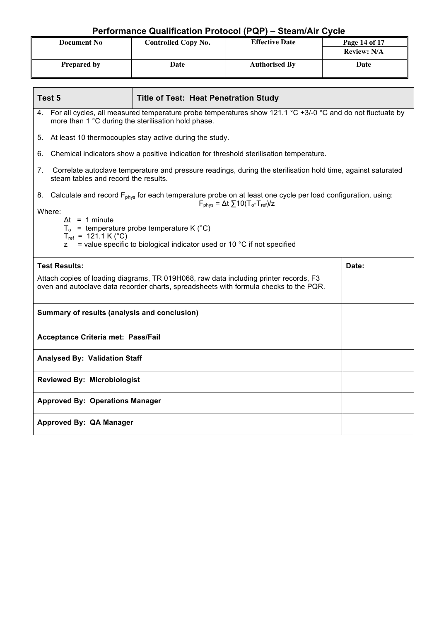| ____________       |                            |                       |                    |  |  |
|--------------------|----------------------------|-----------------------|--------------------|--|--|
| <b>Document No</b> | <b>Controlled Copy No.</b> | <b>Effective Date</b> |                    |  |  |
|                    |                            |                       | <b>Review: N/A</b> |  |  |
| <b>Prepared by</b> | Date                       | <b>Authorised By</b>  | Date               |  |  |

| Test 5                                                                                                                                                                                                               | <b>Title of Test: Heat Penetration Study</b>                                                                                                                                            |       |  |  |
|----------------------------------------------------------------------------------------------------------------------------------------------------------------------------------------------------------------------|-----------------------------------------------------------------------------------------------------------------------------------------------------------------------------------------|-------|--|--|
|                                                                                                                                                                                                                      | 4. For all cycles, all measured temperature probe temperatures show 121.1 °C +3/-0 °C and do not fluctuate by<br>more than 1 °C during the sterilisation hold phase.                    |       |  |  |
|                                                                                                                                                                                                                      | 5. At least 10 thermocouples stay active during the study.                                                                                                                              |       |  |  |
| 6.                                                                                                                                                                                                                   | Chemical indicators show a positive indication for threshold sterilisation temperature.                                                                                                 |       |  |  |
| 7.<br>steam tables and record the results.                                                                                                                                                                           | Correlate autoclave temperature and pressure readings, during the sterilisation hold time, against saturated                                                                            |       |  |  |
|                                                                                                                                                                                                                      | 8. Calculate and record F <sub>phys</sub> for each temperature probe on at least one cycle per load configuration, using:<br>$F_{\text{phys}} = \Delta t \sum 10(T_o-T_{\text{ref}})/z$ |       |  |  |
| Where:<br>$\Delta t = 1$ minute<br>$T_0$ = temperature probe temperature K (°C)<br>$T_{ref}$ = 121.1 K (°C)<br>$=$ value specific to biological indicator used or 10 $^{\circ}$ C if not specified<br>$\overline{z}$ |                                                                                                                                                                                         |       |  |  |
| <b>Test Results:</b>                                                                                                                                                                                                 |                                                                                                                                                                                         | Date: |  |  |
| Attach copies of loading diagrams, TR 019H068, raw data including printer records, F3<br>oven and autoclave data recorder charts, spreadsheets with formula checks to the PQR.                                       |                                                                                                                                                                                         |       |  |  |
| Summary of results (analysis and conclusion)                                                                                                                                                                         |                                                                                                                                                                                         |       |  |  |
| Acceptance Criteria met: Pass/Fail                                                                                                                                                                                   |                                                                                                                                                                                         |       |  |  |
| <b>Analysed By: Validation Staff</b>                                                                                                                                                                                 |                                                                                                                                                                                         |       |  |  |
| <b>Reviewed By: Microbiologist</b>                                                                                                                                                                                   |                                                                                                                                                                                         |       |  |  |
| <b>Approved By: Operations Manager</b>                                                                                                                                                                               |                                                                                                                                                                                         |       |  |  |
| Approved By: QA Manager                                                                                                                                                                                              |                                                                                                                                                                                         |       |  |  |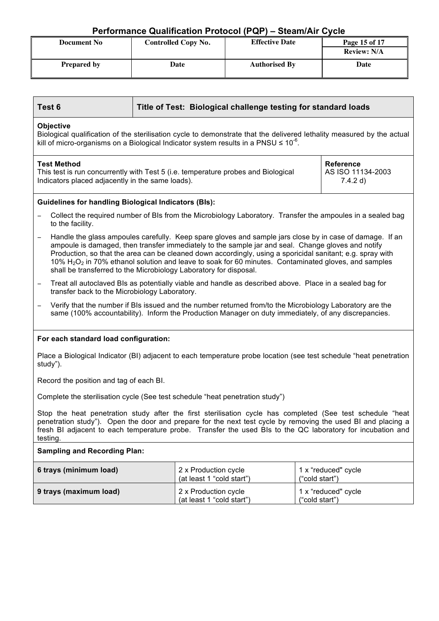| <b>Document No</b> | <b>Effective Date</b><br><b>Controlled Copy No.</b> |                      | Page 15 of 17      |
|--------------------|-----------------------------------------------------|----------------------|--------------------|
|                    |                                                     |                      | <b>Review: N/A</b> |
| <b>Prepared by</b> | Date                                                | <b>Authorised By</b> | Date               |

| Test 6<br>Title of Test: Biological challenge testing for standard loads                                                                                                                                                                                                                                                                             |                                                                                                                                                                                            |                                                                                                                                                                                                                                                                                                                                                                                                                                         |                |                     |  |
|------------------------------------------------------------------------------------------------------------------------------------------------------------------------------------------------------------------------------------------------------------------------------------------------------------------------------------------------------|--------------------------------------------------------------------------------------------------------------------------------------------------------------------------------------------|-----------------------------------------------------------------------------------------------------------------------------------------------------------------------------------------------------------------------------------------------------------------------------------------------------------------------------------------------------------------------------------------------------------------------------------------|----------------|---------------------|--|
| <b>Objective</b><br>Biological qualification of the sterilisation cycle to demonstrate that the delivered lethality measured by the actual<br>kill of micro-organisms on a Biological Indicator system results in a PNSU $\leq 10^{-6}$ .                                                                                                            |                                                                                                                                                                                            |                                                                                                                                                                                                                                                                                                                                                                                                                                         |                |                     |  |
| <b>Test Method</b>                                                                                                                                                                                                                                                                                                                                   | <b>Reference</b><br>This test is run concurrently with Test 5 (i.e. temperature probes and Biological<br>AS ISO 11134-2003<br>Indicators placed adjacently in the same loads).<br>7.4.2 d) |                                                                                                                                                                                                                                                                                                                                                                                                                                         |                |                     |  |
| <b>Guidelines for handling Biological Indicators (BIs):</b>                                                                                                                                                                                                                                                                                          |                                                                                                                                                                                            |                                                                                                                                                                                                                                                                                                                                                                                                                                         |                |                     |  |
| to the facility.                                                                                                                                                                                                                                                                                                                                     |                                                                                                                                                                                            | Collect the required number of BIs from the Microbiology Laboratory. Transfer the ampoules in a sealed bag                                                                                                                                                                                                                                                                                                                              |                |                     |  |
| $\overline{\phantom{0}}$<br>shall be transferred to the Microbiology Laboratory for disposal.                                                                                                                                                                                                                                                        |                                                                                                                                                                                            | Handle the glass ampoules carefully. Keep spare gloves and sample jars close by in case of damage. If an<br>ampoule is damaged, then transfer immediately to the sample jar and seal. Change gloves and notify<br>Production, so that the area can be cleaned down accordingly, using a sporicidal sanitant; e.g. spray with<br>10% $H_2O_2$ in 70% ethanol solution and leave to soak for 60 minutes. Contaminated gloves, and samples |                |                     |  |
| $\overline{\phantom{0}}$<br>transfer back to the Microbiology Laboratory.                                                                                                                                                                                                                                                                            |                                                                                                                                                                                            | Treat all autoclaved BIs as potentially viable and handle as described above. Place in a sealed bag for                                                                                                                                                                                                                                                                                                                                 |                |                     |  |
| Verify that the number if BIs issued and the number returned from/to the Microbiology Laboratory are the<br>same (100% accountability). Inform the Production Manager on duty immediately, of any discrepancies.                                                                                                                                     |                                                                                                                                                                                            |                                                                                                                                                                                                                                                                                                                                                                                                                                         |                |                     |  |
| For each standard load configuration:                                                                                                                                                                                                                                                                                                                |                                                                                                                                                                                            |                                                                                                                                                                                                                                                                                                                                                                                                                                         |                |                     |  |
| Place a Biological Indicator (BI) adjacent to each temperature probe location (see test schedule "heat penetration<br>study").                                                                                                                                                                                                                       |                                                                                                                                                                                            |                                                                                                                                                                                                                                                                                                                                                                                                                                         |                |                     |  |
| Record the position and tag of each BI.                                                                                                                                                                                                                                                                                                              |                                                                                                                                                                                            |                                                                                                                                                                                                                                                                                                                                                                                                                                         |                |                     |  |
|                                                                                                                                                                                                                                                                                                                                                      | Complete the sterilisation cycle (See test schedule "heat penetration study")                                                                                                              |                                                                                                                                                                                                                                                                                                                                                                                                                                         |                |                     |  |
| Stop the heat penetration study after the first sterilisation cycle has completed (See test schedule "heat<br>penetration study"). Open the door and prepare for the next test cycle by removing the used BI and placing a<br>fresh BI adjacent to each temperature probe. Transfer the used BIs to the QC laboratory for incubation and<br>testing. |                                                                                                                                                                                            |                                                                                                                                                                                                                                                                                                                                                                                                                                         |                |                     |  |
| <b>Sampling and Recording Plan:</b>                                                                                                                                                                                                                                                                                                                  |                                                                                                                                                                                            |                                                                                                                                                                                                                                                                                                                                                                                                                                         |                |                     |  |
| 6 trays (minimum load)                                                                                                                                                                                                                                                                                                                               |                                                                                                                                                                                            | 2 x Production cycle<br>(at least 1 "cold start")                                                                                                                                                                                                                                                                                                                                                                                       | ("cold start") | 1 x "reduced" cycle |  |
| 2 x Production cycle<br>9 trays (maximum load)<br>1 x "reduced" cycle<br>(at least 1 "cold start")<br>"cold start")                                                                                                                                                                                                                                  |                                                                                                                                                                                            |                                                                                                                                                                                                                                                                                                                                                                                                                                         |                |                     |  |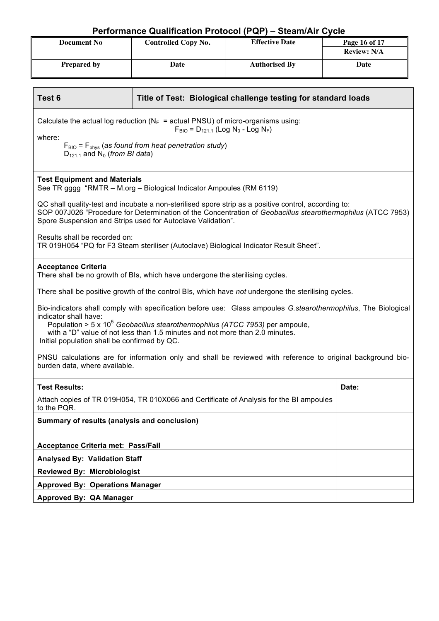| <b>Document No</b> | <b>Controlled Copy No.</b> | <b>Effective Date</b> | Page 16 of 17      |
|--------------------|----------------------------|-----------------------|--------------------|
|                    |                            |                       | <b>Review: N/A</b> |
| <b>Prepared by</b> | Date                       | <b>Authorised By</b>  | Date               |

| Test <sub>6</sub>                                                                                                                                                                                                                                                                                                                                          | Title of Test: Biological challenge testing for standard loads                                                                                                                                                                                                                     |       |  |  |
|------------------------------------------------------------------------------------------------------------------------------------------------------------------------------------------------------------------------------------------------------------------------------------------------------------------------------------------------------------|------------------------------------------------------------------------------------------------------------------------------------------------------------------------------------------------------------------------------------------------------------------------------------|-------|--|--|
| Calculate the actual log reduction ( $N_F$ = actual PNSU) of micro-organisms using:<br>$F_{\text{BIO}} = D_{121.1}$ (Log N <sub>0</sub> - Log N <sub>F</sub> )<br>where:                                                                                                                                                                                   |                                                                                                                                                                                                                                                                                    |       |  |  |
| $D_{121,1}$ and N <sub>0</sub> (from BI data)                                                                                                                                                                                                                                                                                                              | $F_{\text{BIO}} = F_{\text{phys}}$ (as found from heat penetration study)                                                                                                                                                                                                          |       |  |  |
| <b>Test Equipment and Materials</b>                                                                                                                                                                                                                                                                                                                        | See TR gggg "RMTR - M.org - Biological Indicator Ampoules (RM 6119)                                                                                                                                                                                                                |       |  |  |
|                                                                                                                                                                                                                                                                                                                                                            | QC shall quality-test and incubate a non-sterilised spore strip as a positive control, according to:<br>SOP 007J026 "Procedure for Determination of the Concentration of Geobacillus stearothermophilus (ATCC 7953)<br>Spore Suspension and Strips used for Autoclave Validation". |       |  |  |
| Results shall be recorded on:                                                                                                                                                                                                                                                                                                                              | TR 019H054 "PQ for F3 Steam steriliser (Autoclave) Biological Indicator Result Sheet".                                                                                                                                                                                             |       |  |  |
| <b>Acceptance Criteria</b>                                                                                                                                                                                                                                                                                                                                 | There shall be no growth of BIs, which have undergone the sterilising cycles.                                                                                                                                                                                                      |       |  |  |
|                                                                                                                                                                                                                                                                                                                                                            | There shall be positive growth of the control BIs, which have not undergone the sterilising cycles.                                                                                                                                                                                |       |  |  |
| Bio-indicators shall comply with specification before use: Glass ampoules G.stearothermophilus, The Biological<br>indicator shall have:<br>Population > 5 x $10^5$ Geobacillus stearothermophilus (ATCC 7953) per ampoule,<br>with a "D" value of not less than 1.5 minutes and not more than 2.0 minutes.<br>Initial population shall be confirmed by QC. |                                                                                                                                                                                                                                                                                    |       |  |  |
| PNSU calculations are for information only and shall be reviewed with reference to original background bio-<br>burden data, where available.                                                                                                                                                                                                               |                                                                                                                                                                                                                                                                                    |       |  |  |
| <b>Test Results:</b>                                                                                                                                                                                                                                                                                                                                       |                                                                                                                                                                                                                                                                                    | Date: |  |  |
| to the PQR.                                                                                                                                                                                                                                                                                                                                                | Attach copies of TR 019H054, TR 010X066 and Certificate of Analysis for the BI ampoules                                                                                                                                                                                            |       |  |  |
| Summary of results (analysis and conclusion)                                                                                                                                                                                                                                                                                                               |                                                                                                                                                                                                                                                                                    |       |  |  |
| Acceptance Criteria met: Pass/Fail                                                                                                                                                                                                                                                                                                                         |                                                                                                                                                                                                                                                                                    |       |  |  |
| <b>Analysed By: Validation Staff</b>                                                                                                                                                                                                                                                                                                                       |                                                                                                                                                                                                                                                                                    |       |  |  |
| <b>Reviewed By: Microbiologist</b>                                                                                                                                                                                                                                                                                                                         |                                                                                                                                                                                                                                                                                    |       |  |  |
|                                                                                                                                                                                                                                                                                                                                                            | <b>Approved By: Operations Manager</b>                                                                                                                                                                                                                                             |       |  |  |
| Approved By: QA Manager                                                                                                                                                                                                                                                                                                                                    |                                                                                                                                                                                                                                                                                    |       |  |  |